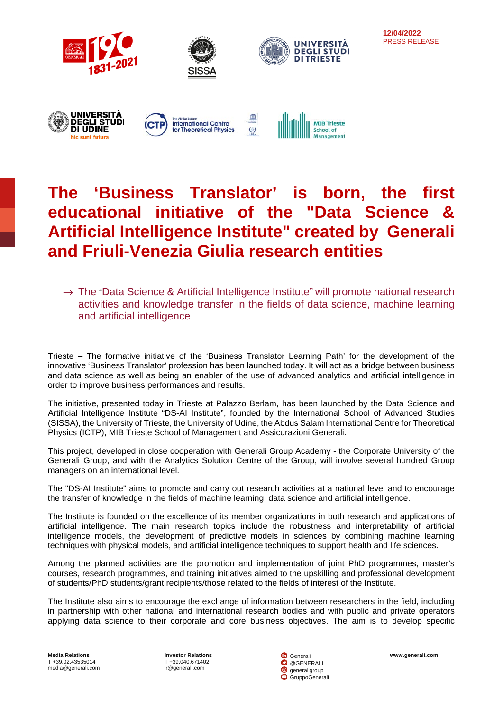

# **12/04/2022** PRESS RELEASE



 $\rightarrow$  The "Data Science & Artificial Intelligence Institute" will promote national research activities and knowledge transfer in the fields of data science, machine learning and artificial intelligence

Trieste – The formative initiative of the 'Business Translator Learning Path' for the development of the innovative 'Business Translator' profession has been launched today. It will act as a bridge between business and data science as well as being an enabler of the use of advanced analytics and artificial intelligence in order to improve business performances and results.

The initiative, presented today in Trieste at Palazzo Berlam, has been launched by the Data Science and Artificial Intelligence Institute "DS-AI Institute", founded by the International School of Advanced Studies (SISSA), the University of Trieste, the University of Udine, the Abdus Salam International Centre for Theoretical Physics (ICTP), MIB Trieste School of Management and Assicurazioni Generali.

This project, developed in close cooperation with Generali Group Academy - the Corporate University of the Generali Group, and with the Analytics Solution Centre of the Group, will involve several hundred Group managers on an international level.

The "DS-AI Institute" aims to promote and carry out research activities at a national level and to encourage the transfer of knowledge in the fields of machine learning, data science and artificial intelligence.

The Institute is founded on the excellence of its member organizations in both research and applications of artificial intelligence. The main research topics include the robustness and interpretability of artificial intelligence models, the development of predictive models in sciences by combining machine learning techniques with physical models, and artificial intelligence techniques to support health and life sciences.

Among the planned activities are the promotion and implementation of joint PhD programmes, master's courses, research programmes, and training initiatives aimed to the upskilling and professional development of students/PhD students/grant recipients/those related to the fields of interest of the Institute.

The Institute also aims to encourage the exchange of information between researchers in the field, including in partnership with other national and international research bodies and with public and private operators applying data science to their corporate and core business objectives. The aim is to develop specific

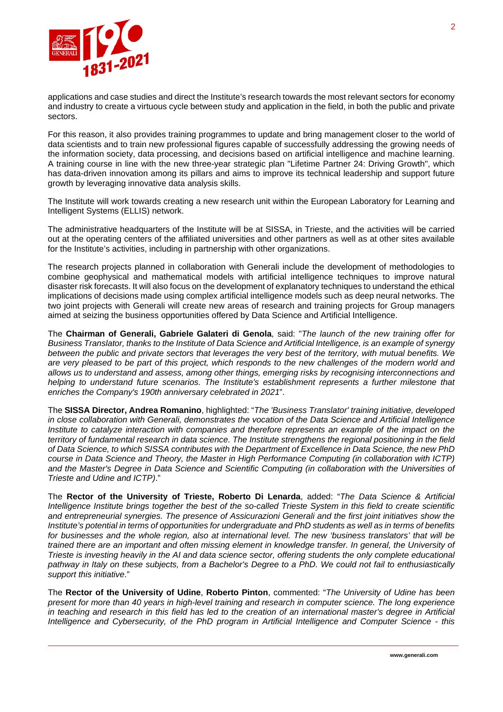

applications and case studies and direct the Institute's research towards the most relevant sectors for economy and industry to create a virtuous cycle between study and application in the field, in both the public and private sectors.

For this reason, it also provides training programmes to update and bring management closer to the world of data scientists and to train new professional figures capable of successfully addressing the growing needs of the information society, data processing, and decisions based on artificial intelligence and machine learning. A training course in line with the new three-year strategic plan "Lifetime Partner 24: Driving Growth", which has data-driven innovation among its pillars and aims to improve its technical leadership and support future growth by leveraging innovative data analysis skills.

The Institute will work towards creating a new research unit within the European Laboratory for Learning and Intelligent Systems (ELLIS) network.

The administrative headquarters of the Institute will be at SISSA, in Trieste, and the activities will be carried out at the operating centers of the affiliated universities and other partners as well as at other sites available for the Institute's activities, including in partnership with other organizations.

The research projects planned in collaboration with Generali include the development of methodologies to combine geophysical and mathematical models with artificial intelligence techniques to improve natural disaster risk forecasts. It will also focus on the development of explanatory techniques to understand the ethical implications of decisions made using complex artificial intelligence models such as deep neural networks. The two joint projects with Generali will create new areas of research and training projects for Group managers aimed at seizing the business opportunities offered by Data Science and Artificial Intelligence.

The **Chairman of Generali, Gabriele Galateri di Genola**, said: "*The launch of the new training offer for Business Translator, thanks to the Institute of Data Science and Artificial Intelligence, is an example of synergy between the public and private sectors that leverages the very best of the territory, with mutual benefits. We are very pleased to be part of this project, which responds to the new challenges of the modern world and allows us to understand and assess, among other things, emerging risks by recognising interconnections and helping to understand future scenarios. The Institute's establishment represents a further milestone that enriches the Company's 190th anniversary celebrated in 2021*".

The **SISSA Director, Andrea Romanino**, highlighted: "*The 'Business Translator' training initiative, developed in close collaboration with Generali, demonstrates the vocation of the Data Science and Artificial Intelligence Institute to catalyze interaction with companies and therefore represents an example of the impact on the territory of fundamental research in data science. The Institute strengthens the regional positioning in the field of Data Science, to which SISSA contributes with the Department of Excellence in Data Science, the new PhD course in Data Science and Theory, the Master in High Performance Computing (in collaboration with ICTP) and the Master's Degree in Data Science and Scientific Computing (in collaboration with the Universities of Trieste and Udine and ICTP)*."

The **Rector of the University of Trieste, Roberto Di Lenarda**, added: "*The Data Science & Artificial Intelligence Institute brings together the best of the so-called Trieste System in this field to create scientific and entrepreneurial synergies. The presence of Assicurazioni Generali and the first joint initiatives show the Institute's potential in terms of opportunities for undergraduate and PhD students as well as in terms of benefits for businesses and the whole region, also at international level. The new 'business translators' that will be trained there are an important and often missing element in knowledge transfer. In general, the University of Trieste is investing heavily in the AI and data science sector, offering students the only complete educational pathway in Italy on these subjects, from a Bachelor's Degree to a PhD. We could not fail to enthusiastically support this initiative*."

The **Rector of the University of Udine**, **Roberto Pinton**, commented: "*The University of Udine has been present for more than 40 years in high-level training and research in computer science. The long experience in teaching and research in this field has led to the creation of an international master's degree in Artificial Intelligence and Cybersecurity, of the PhD program in Artificial Intelligence and Computer Science - this*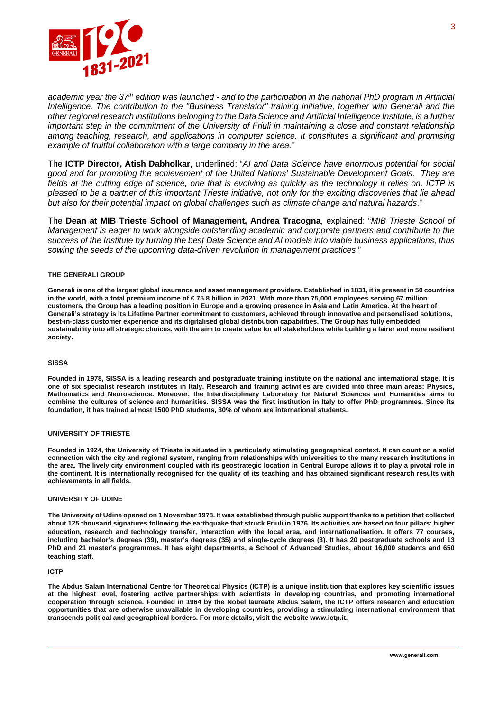

*academic year the 37th edition was launched - and to the participation in the national PhD program in Artificial Intelligence. The contribution to the "Business Translator" training initiative, together with Generali and the other regional research institutions belonging to the Data Science and Artificial Intelligence Institute, is a further important step in the commitment of the University of Friuli in maintaining a close and constant relationship among teaching, research, and applications in computer science. It constitutes a significant and promising example of fruitful collaboration with a large company in the area."*

The **ICTP Director, Atish Dabholkar**, underlined: "*AI and Data Science have enormous potential for social good and for promoting the achievement of the United Nations' Sustainable Development Goals. They are fields at the cutting edge of science, one that is evolving as quickly as the technology it relies on. ICTP is pleased to be a partner of this important Trieste initiative, not only for the exciting discoveries that lie ahead but also for their potential impact on global challenges such as climate change and natural hazards*."

The **Dean at MIB Trieste School of Management, Andrea Tracogna**, explained: "*MIB Trieste School of Management is eager to work alongside outstanding academic and corporate partners and contribute to the success of the Institute by turning the best Data Science and AI models into viable business applications, thus sowing the seeds of the upcoming data-driven revolution in management practices*."

## **THE GENERALI GROUP**

**Generali is one of the largest global insurance and asset management providers. Established in 1831, it is present in 50 countries in the world, with a total premium income of € 75.8 billion in 2021. With more than 75,000 employees serving 67 million customers, the Group has a leading position in Europe and a growing presence in Asia and Latin America. At the heart of Generali's strategy is its Lifetime Partner commitment to customers, achieved through innovative and personalised solutions, best-in-class customer experience and its digitalised global distribution capabilities. The Group has fully embedded sustainability into all strategic choices, with the aim to create value for all stakeholders while building a fairer and more resilient society.** 

### **SISSA**

**Founded in 1978, SISSA is a leading research and postgraduate training institute on the national and international stage. It is one of six specialist research institutes in Italy. Research and training activities are divided into three main areas: Physics, Mathematics and Neuroscience. Moreover, the Interdisciplinary Laboratory for Natural Sciences and Humanities aims to combine the cultures of science and humanities. SISSA was the first institution in Italy to offer PhD programmes. Since its foundation, it has trained almost 1500 PhD students, 30% of whom are international students.**

### **UNIVERSITY OF TRIESTE**

**Founded in 1924, the University of Trieste is situated in a particularly stimulating geographical context. It can count on a solid connection with the city and regional system, ranging from relationships with universities to the many research institutions in the area. The lively city environment coupled with its geostrategic location in Central Europe allows it to play a pivotal role in the continent. It is internationally recognised for the quality of its teaching and has obtained significant research results with achievements in all fields.**

### **UNIVERSITY OF UDINE**

**The University of Udine opened on 1 November 1978. It was established through public support thanks to a petition that collected about 125 thousand signatures following the earthquake that struck Friuli in 1976. Its activities are based on four pillars: higher education, research and technology transfer, interaction with the local area, and internationalisation. It offers 77 courses, including bachelor's degrees (39), master's degrees (35) and single-cycle degrees (3). It has 20 postgraduate schools and 13 PhD and 21 master's programmes. It has eight departments, a School of Advanced Studies, about 16,000 students and 650 teaching staff.**

#### **ICTP**

**The Abdus Salam International Centre for Theoretical Physics (ICTP) is a unique institution that explores key scientific issues at the highest level, fostering active partnerships with scientists in developing countries, and promoting international cooperation through science. Founded in 1964 by the Nobel laureate Abdus Salam, the ICTP offers research and education opportunities that are otherwise unavailable in developing countries, providing a stimulating international environment that transcends political and geographical borders. For more details, visit the websit[e www.ictp.it.](http://www.ictp.it/)**